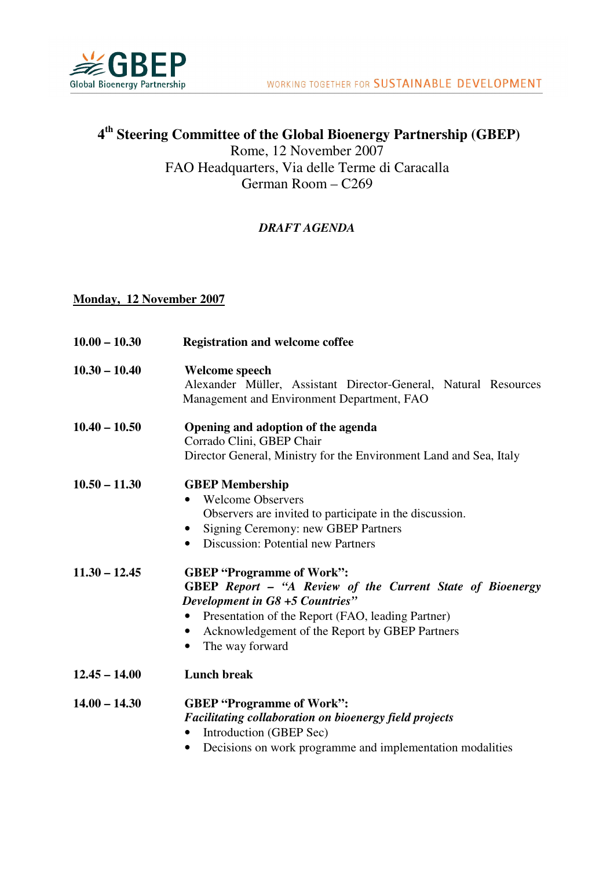

## **4 th Steering Committee of the Global Bioenergy Partnership (GBEP)**  Rome, 12 November 2007 FAO Headquarters, Via delle Terme di Caracalla German Room – C269

## *DRAFT AGENDA*

## **Monday, 12 November 2007**

| $10.00 - 10.30$ | <b>Registration and welcome coffee</b>                                                                                                                                                                                                                                                                   |
|-----------------|----------------------------------------------------------------------------------------------------------------------------------------------------------------------------------------------------------------------------------------------------------------------------------------------------------|
| $10.30 - 10.40$ | <b>Welcome speech</b><br>Alexander Müller, Assistant Director-General, Natural Resources<br>Management and Environment Department, FAO                                                                                                                                                                   |
| $10.40 - 10.50$ | Opening and adoption of the agenda<br>Corrado Clini, GBEP Chair<br>Director General, Ministry for the Environment Land and Sea, Italy                                                                                                                                                                    |
| $10.50 - 11.30$ | <b>GBEP</b> Membership<br><b>Welcome Observers</b><br>$\bullet$<br>Observers are invited to participate in the discussion.<br>Signing Ceremony: new GBEP Partners<br>$\bullet$<br><b>Discussion: Potential new Partners</b><br>$\bullet$                                                                 |
| $11.30 - 12.45$ | <b>GBEP "Programme of Work":</b><br>GBEP Report - "A Review of the Current State of Bioenergy<br><b>Development in G8 +5 Countries"</b><br>Presentation of the Report (FAO, leading Partner)<br>$\bullet$<br>Acknowledgement of the Report by GBEP Partners<br>$\bullet$<br>The way forward<br>$\bullet$ |
| $12.45 - 14.00$ | <b>Lunch break</b>                                                                                                                                                                                                                                                                                       |
| $14.00 - 14.30$ | <b>GBEP "Programme of Work":</b><br>Facilitating collaboration on bioenergy field projects<br>Introduction (GBEP Sec)<br>$\bullet$<br>Decisions on work programme and implementation modalities<br>$\bullet$                                                                                             |